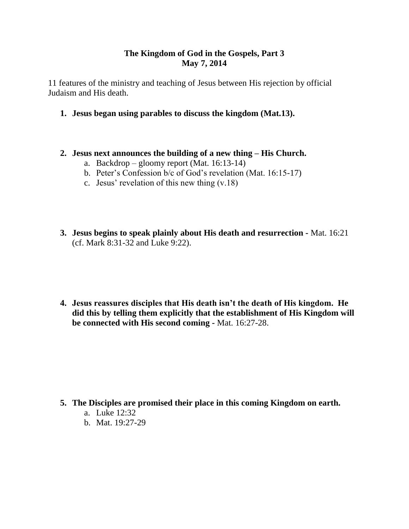# **The Kingdom of God in the Gospels, Part 3 May 7, 2014**

11 features of the ministry and teaching of Jesus between His rejection by official Judaism and His death.

- **1. Jesus began using parables to discuss the kingdom (Mat.13).**
- **2. Jesus next announces the building of a new thing – His Church.**
	- a. Backdrop gloomy report (Mat. 16:13-14)
	- b. Peter's Confession b/c of God's revelation (Mat. 16:15-17)
	- c. Jesus' revelation of this new thing (v.18)
- **3. Jesus begins to speak plainly about His death and resurrection -** Mat. 16:21 (cf. Mark 8:31-32 and Luke 9:22).
- **4. Jesus reassures disciples that His death isn't the death of His kingdom. He did this by telling them explicitly that the establishment of His Kingdom will be connected with His second coming -** Mat. 16:27-28.

#### **5. The Disciples are promised their place in this coming Kingdom on earth.**

- a. Luke 12:32
- b. Mat. 19:27-29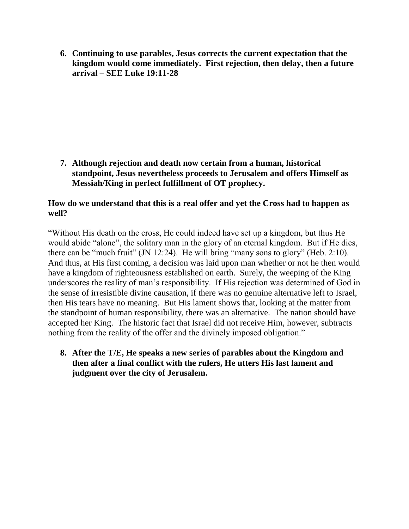**6. Continuing to use parables, Jesus corrects the current expectation that the kingdom would come immediately. First rejection, then delay, then a future arrival – SEE Luke 19:11-28**

**7. Although rejection and death now certain from a human, historical standpoint, Jesus nevertheless proceeds to Jerusalem and offers Himself as Messiah/King in perfect fulfillment of OT prophecy.** 

# **How do we understand that this is a real offer and yet the Cross had to happen as well?**

"Without His death on the cross, He could indeed have set up a kingdom, but thus He would abide "alone", the solitary man in the glory of an eternal kingdom. But if He dies, there can be "much fruit" (JN 12:24). He will bring "many sons to glory" (Heb. 2:10). And thus, at His first coming, a decision was laid upon man whether or not he then would have a kingdom of righteousness established on earth. Surely, the weeping of the King underscores the reality of man's responsibility. If His rejection was determined of God in the sense of irresistible divine causation, if there was no genuine alternative left to Israel, then His tears have no meaning. But His lament shows that, looking at the matter from the standpoint of human responsibility, there was an alternative. The nation should have accepted her King. The historic fact that Israel did not receive Him, however, subtracts nothing from the reality of the offer and the divinely imposed obligation."

**8. After the T/E, He speaks a new series of parables about the Kingdom and then after a final conflict with the rulers, He utters His last lament and judgment over the city of Jerusalem.**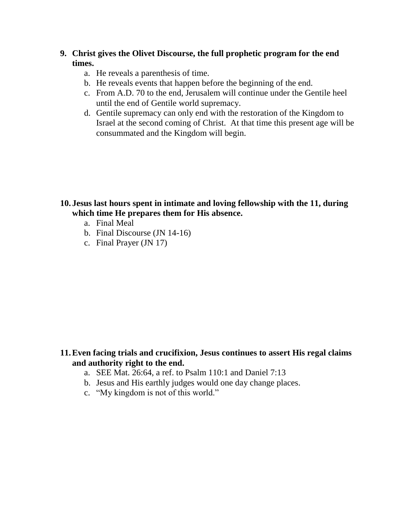## **9. Christ gives the Olivet Discourse, the full prophetic program for the end times.**

- a. He reveals a parenthesis of time.
- b. He reveals events that happen before the beginning of the end.
- c. From A.D. 70 to the end, Jerusalem will continue under the Gentile heel until the end of Gentile world supremacy.
- d. Gentile supremacy can only end with the restoration of the Kingdom to Israel at the second coming of Christ. At that time this present age will be consummated and the Kingdom will begin.

## **10. Jesus last hours spent in intimate and loving fellowship with the 11, during which time He prepares them for His absence.**

- a. Final Meal
- b. Final Discourse (JN 14-16)
- c. Final Prayer (JN 17)

# **11.Even facing trials and crucifixion, Jesus continues to assert His regal claims and authority right to the end.**

- a. SEE Mat. 26:64, a ref. to Psalm 110:1 and Daniel 7:13
- b. Jesus and His earthly judges would one day change places.
- c. "My kingdom is not of this world."